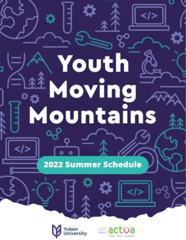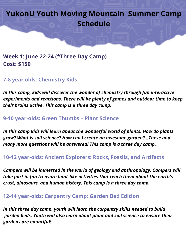**Week 1: June 22-24 (\*Three Day Camp) Cost: \$150**

**7-8 year olds: Chemistry Kids**

*In this camp, kids will discover the wonder of chemistry through fun interactive experiments and reactions. There will be plenty of games and outdoor time to keep their brains active. This camp is a three day camp.*

**9-10 year-olds: Green Thumbs – Plant Science**

*In this camp kids will learn about the wonderful world of plants. How do plants grow? What is soil science? How can I create an awesome garden?…These and many more questions will be answered! This camp is a three day camp.*

**10-12 year-olds: Ancient Explorers: Rocks, Fossils, and Artifacts**

*Campers will be immersed in the world of geology and anthropology. Campers will take part in fun treasure hunt-like activities that teach them about the earth's crust, dinosaurs, and human history. This camp is a three day camp.*

**12-14 year-olds: Carpentry Camp: Garden Bed Edition**

*In this three day camp, youth will learn the carpentry skills needed to build garden beds. Youth will also learn about plant and soil science to ensure their gardens are bountiful!*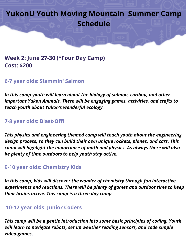# **Week 2: June 27-30 (\*Four Day Camp) Cost: \$200**

#### **6-7 year olds: Slammin' Salmon**

*In this camp youth will learn about the biology of salmon, caribou, and other important Yukon Animals. There will be engaging games, activities, and crafts to teach youth about Yukon's wonderful ecology.*

#### **7-8 year olds: Blast-Off!**

*This physics and engineering themed camp will teach youth about the engineering design process, so they can build their own unique rockets, planes, and cars. This camp will highlight the importance of math and physics. As always there will also be plenty of time outdoors to help youth stay active.*

#### **9-10 year olds: Chemistry Kids**

*In this camp, kids will discover the wonder of chemistry through fun interactive experiments and reactions. There will be plenty of games and outdoor time to keep their brains active. This camp is a three day camp.*

#### **10-12 year olds: Junior Coders**

*This camp will be a gentle introduction into some basic principles of coding. Youth will learn to navigate robots, set up weather reading sensors, and code simple video-games***.**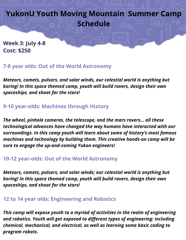**Week 3: July 4-8 Cost: \$250**

### **7-8 year olds: Out of the World Astronomy**

*Meteors, comets, pulsars, and solar winds, our celestial world is anything but boring! In this space themed camp, youth will build rovers, design their own spaceships, and shoot for the stars!*

## **9-10 year-olds: Machines through History**

*The wheel, pinhole cameras, the telescope, and the mars rovers… all these technological advances have changed the way humans have interacted with our surroundings. In this camp youth will learn about some of history's most famous machines and technology by building them. This creative hands-on camp will be sure to engage the up-and-coming Yukon engineers!*

### **10-12 year-olds: Out of the World Astronomy**

*Meteors, comets, pulsars, and solar winds; our celestial world is anything but boring! In this space themed camp, youth will build rovers, design their own spaceships, and shoot for the stars!*

### **12 to 14 year olds: Engineering and Robotics**

*This camp will expose youth to a myriad of activities in the realm of engineering and robotics. Youth will get exposed to different types of engineering: including chemical, mechanical, and electrical, as well as learning some basic coding to program robots.*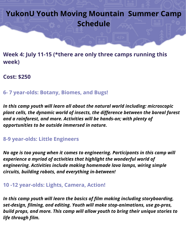**Week 4: July 11-15 (\*there are only three camps running this week)**

**Cost: \$250**

### **6- 7 year-olds: Botany, Biomes, and Bugs!**

*In this camp youth will learn all about the natural world including: microscopic plant cells, the dynamic world of insects, the difference between the boreal forest and a rainforest, and more. Activities will be hands-on; with plenty of opportunities to be outside immersed in nature.*

## **8-9 year-olds: Little Engineers**

*No age is too young when it comes to engineering. Participants in this camp will experience a myriad of activities that highlight the wonderful world of engineering. Activities include making homemade lava lamps, wiring simple circuits, building robots, and everything in-between!*

# **10 -12 year-olds: Lights, Camera, Action!**

*In this camp youth will learn the basics of film making including storyboarding, set-design, filming, and editing. Youth will make stop-animations, use go-pros, build props, and more. This camp will allow youth to bring their unique stories to life through film.*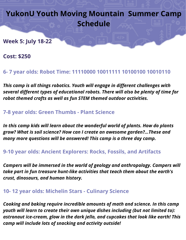**Week 5: July 18-22**

**Cost: \$250**

# **6- 7 year olds: Robot Time: 11110000 10011111 10100100 10010110**

*This camp is all things robotics. Youth will engage in different challenges with several different types of educational robots. There will also be plenty of time for robot themed crafts as well as fun STEM themed outdoor activities.*

## **7-8 year olds: Green Thumbs - Plant Science**

*In this camp kids will learn about the wonderful world of plants. How do plants grow? What is soil science? How can I create an awesome garden?…These and many more questions will be answered! This camp is a three day camp.*

### **9-10 year olds: Ancient Explorers: Rocks, Fossils, and Artifacts**

*Campers will be immersed in the world of geology and anthropology. Campers will take part in fun treasure hunt-like activities that teach them about the earth's crust, dinosaurs, and human history.*

### **10- 12 year olds: Michelin Stars - Culinary Science**

*Cooking and baking require incredible amounts of math and science. In this camp youth will learn to create their own unique dishes including (but not limited to): astronaut ice-cream, glow in the dark jello, and cupcakes that look like earth! This camp will include lots of snacking and activity outside!*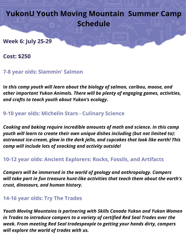**Week 6: July 25-29**

**Cost: \$250**

**7-8 year olds: Slammin' Salmon**

**I***n this camp youth will learn about the biology of salmon, caribou, moose, and other important Yukon Animals. There will be plenty of engaging games, activities, and crafts to teach youth about Yukon's ecology.*

**9-10 year olds: Michelin Stars - Culinary Science**

*Cooking and baking require incredible amounts of math and science. In this camp youth will learn to create their own unique dishes including (but not limited to): astronaut ice-cream, glow in the dark jello, and cupcakes that look like earth! This camp will include lots of snacking and activity outside!*

**10-12 year olds: Ancient Explorers: Rocks, Fossils, and Artifacts**

*Campers will be immersed in the world of geology and anthropology. Campers will take part in fun treasure hunt-like activities that teach them about the earth's crust, dinosaurs, and human history.*

### **14-16 year olds: Try The Trades**

*Youth Moving Mountains is partnering with Skills Canada Yukon and Yukon Women in Trades to introduce campers to a variety of certified Red Seal Trades over the week. From meeting Red Seal tradespeople to getting your hands dirty, campers will explore the world of trades with us.*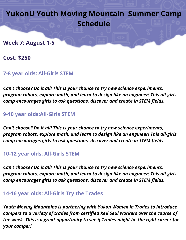#### **Week 7: August 1-5**

**Cost: \$250**

### **7-8 year olds: All-Girls STEM**

*Can't choose? Do it all! This is your chance to try new science experiments, program robots, explore math, and learn to design like an engineer! This all-girls camp encourages girls to ask questions, discover and create in STEM fields.*

### **9-10 year olds:All-Girls STEM**

*Can't choose? Do it all! This is your chance to try new science experiments, program robots, explore math, and learn to design like an engineer! This all-girls camp encourages girls to ask questions, discover and create in STEM fields.*

### **10-12 year olds: All-Girls STEM**

*Can't choose? Do it all! This is your chance to try new science experiments, program robots, explore math, and learn to design like an engineer! This all-girls camp encourages girls to ask questions, discover and create in STEM fields.*

## **14-16 year olds: All-Girls Try the Trades**

*Youth Moving Mountains is partnering with Yukon Women in Trades to introduce campers to a variety of trades from certified Red Seal workers over the course of the week. This is a great opportunity to see if Trades might be the right career for your camper!*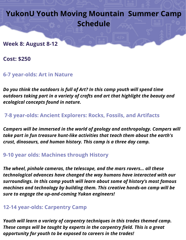**Week 8: August 8-12**

**Cost: \$250**

**6-7 year-olds: Art in Nature**

*Do you think the outdoors is full of Art? In this camp youth will spend time outdoors taking part in a variety of crafts and art that highlight the beauty and ecological concepts found in nature.*

**7-8 year-olds: Ancient Explorers: Rocks, Fossils, and Artifacts**

*Campers will be immersed in the world of geology and anthropology. Campers will take part in fun treasure hunt-like activities that teach them about the earth's crust, dinosaurs, and human history. This camp is a three day camp.*

### **9-10 year olds: Machines through History**

*The wheel, pinhole cameras, the telescope, and the mars rovers… all these technological advances have changed the way humans have interacted with our surroundings. In this camp youth will learn about some of history's most famous machines and technology by building them. This creative hands-on camp will be sure to engage the up-and-coming Yukon engineers!*

### **12-14 year-olds: Carpentry Camp**

*Youth will learn a variety of carpentry techniques in this trades themed camp. These camps will be taught by experts in the carpentry field. This is a great opportunity for youth to be exposed to careers in the trades!*